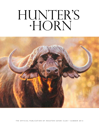# HUNTER'S

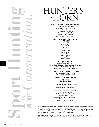Hunter's Horn • summer 2014 6 **Sport Hunting** *Conservation.* wildlife *is*

# HUNTER'S

## 2013-14 Houston Safari Club Offi cers

Melanie Pepper, President Kevin Comiskey, President-Elect Gene Human, Immediate Past President J.D. Burrows, Vice President Mark King, Vice President Julianne King, Treasurer Jerry M. Henderson, Secretary

# Houston Safari Club Dire ctors

2012 – 2014 Cope Bailey Steve Crawford Deb Cunningham Ted Trout

2013 – 2015 Harold Inman Shaun Nelson Kevin Ormston Matt Pyle Scott Scheinin

### Hea dquarters Staff

Joe Betar, Executive Director Scarlett Darby, Director of Publications and Marketing Jessica Welch, Office Manager Tara Anderson, Membership Coordinator

# HUNTER'S HORN PRODUCTION STAFF

Scarlett Darby, Executive Editor Jessica Welch, Associate Editor

2013/2014 EDITORIAL BOARD Julianne King Deb Cunningham

### C2- Studios Inc., Consulting & Design

### Alliance Printing and Graphics

Hunter's Horn is published quarterly by Houston Safari Club 9432 Katy F reeway, Suite 350 Houston, Texas 77055 713.623.8844 (p) 713.623.8866 (f) info@houstonsafariclub.org www.houstonsafariclub.org

*Hunter's Horn* welcomes contributing articles, stories, photos and research that would be of benefit and interest to members of Houston Safari Club. Contributed materials will be published at the discretion of Houston Safari Club Editorial Board. Houston Safari Club reserves the right to edit contributed materials for content and/or length. Please submit material with a self-addressed stamped envelope if you wish for your materials to be returned.

The views expressed in *Hunter's Horn* are expressly those of the author and do not automatically represent those of Houston Safari Club, its members, employees, or partners.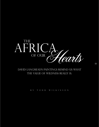

David Langmead's paintings remind us what the value of wildness really is.

By Todd Wilkinson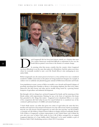

avid Langmead's life has been lived almost entirely on a frontier that most 21st century Americans would find difficult to understand. In his case, the South African painter's terra firma is the frontier of constant change 21st century Americans would find difficult to understand. In his case, the South African painter's terra firma is the frontier of constant change.

In assessing what that means, consider that the country where Langmead was born (Rhodesia) is not the same that replaced it (Zimbabwe). And the nation next door, where he eventually resettled to start a new life (South Africa) is also undergoing its own radical shifts.

Before Langmead's eyes, the nature preserves he knew as a boy and that were once considered models for wildlife conservation on the planet are being transformed. Imagine, for example, if outlaws were to suddenly start plundering game animals in Yellowstone, Yosemite and Denali.

Lion populations in many corners of Africa in trouble, as are cheetah and leopard. A plague of poaching, stretching from Namibia to Kenya, is decimating elephants (for their ivory tusks), rhinoceros (for their horns) and other species steadily being erased by a growing human footprint of agriculture and industrial development.

But through it all, two things have anchored Langmead: his family and his maturing art that blends realism with impressionism. Painting, he says, is the form of expression that keeps him grounded in the things that matter. Langmead never abandoned Africa as so many of his compatriots did. And today, because he's stayed behind, he is considered one of the continent's gifted portrayers of wildlife and natural landscapes.

"I don't think anyone can refute that given two artists of equal talent, the artist that lives, breathes and experiences his natural environment every day will recreate it better, in paintings, than the one who doesn't. David Langmead is an artist who does just that," says Ross Parker, co-founder of Call of Africa's Native Visions Galleries in Naples and Fort Lauderdale, Florida. Call of Africa is Langmead's exclusive representative in the United States, and it debuts his new oils every year at Safari Club events. In fact, Call of Africa arranged for an original Langmead depiction of a Cape buffalo, titled "Embossed," to be made available as part of Houston Safari Club's fundraising auction at their 2015 Convention.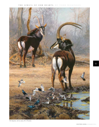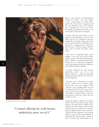

*On Edge,* oil on canvas, 27.5 x 19 inches

*"I started collecting his work because authenticity pours out of it"*

Based in the outpost of Nieu-Bethesda, famous for being a tiny artist enclave in the coastal hinters of South Africa called "the Great Karoo," Langmead and his wife, Bronwen, savor the seclusion. The community lies at the foot of the Sneeuberge, mountains that remind one of the Rockies or the Andes in Patagonia.

A former farm boy who became an avid skydiver and hang glider, he loves to soar. When his feet are earthbound, however, Langmead is constantly seeking out the last of sub-equatorial Africa's still-wild places. They serve as inspiration for a body of art that has been a favorite among collectors who travel on hunts and photo nature safaris.

I have been to Langmead's studio, which inhabits a tiny room that itself is nested within a quaint, clean and welcoming home that is actually a converted livestock barn. During my visit, rising from Langmead's easels, were dramatic portrayals of elephants, Cape buffalo, leopards and kudu.

"I started collecting his work because authenticity pours out of it," says Shawn DeRosa, a medical instruments entrepreneur from Florida, who owns two dozen Langmeads.

"The first ones I purchased were little 10"x10" studies but size didn't matter because they were very striking. David's work has a way of getting inside you and becoming the kinds of scenes you want to view every day in your home," DeRosa says. "Eventually, I purchased larger works and their presence can fill up a room in the best possible of ways."

Langmead speaks of mystical encounters that he's had in the bush, the kind always balanced on edge between sublime peace and peril. It's what collectors find exciting and his works are as beloved by women as by men. Langmead shares a recent anecdote: "We had a bizarre experience one morning while we were out observing megafauna in Zimbabwe. We had just spent a couple of hours watching some lions feasting on an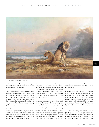

*The Far Pavilion,* oil on canvas, 35 x 47 inches

elephant they had killed the previous night. We finally drove off, all of us enervated by the experience," he explains.

Later, a dozen miles down a dirt road, they were passing through thick mopane veld and were wooed by a pink tree Langmead spied off in the distance. It appeared to glow, all by itself, in the riverine forest beside them. They stopped the vehicle and decided to set out for it on foot. There was no hunting guide to protect them.

"The tree became more impressive the nearer we approached," Langmead notes. "Finally, as we rounded the last stand of dense thicket to arrive at the base of the tree we came face-to-face with three lone buffalo bulls that had been out of sight."

There was only a split second of recognition and panic, he says, noting that the startled bulls were not amused by the intruders. "We screeched out of there like Olympic sprinters," Langmead says. "Fortunately, the buffalo did not catch us, but needless to say not a single photo was taken of that mesmerizing tree."

Langmead has commemorated those kinds of trees, that cause viewers to stop and wonder before them, in many paintings. Long ago, Langmead started as a pure landscape painter and moved to include wildlife in his scenes. "Nothing shows better the transformation from a premier South African landscape painter to a wildlife artist than the work of David Langmead," Call of Africa's Parker adds. "David's careful

design, accompanied by authentic colors and nuances, makes him one of the best in his generation."

Langmead, as a Baby Boomer in his 50s with grown children, is deeply troubled by the ravages of black market poachers that have descended upon the region. Yet he's pleased to know that a percentage of money earned from his artwork is funneled back by artist representative Parker (also a Zimbabwean by birth) directly to wildlife conservation causes.

 "We are now losing 1,000 rhino a year to poaching," he says. "The populations are soon going to be unviable and extinction will be inevitable. Americans need to use whatever influence they have. We cannot 33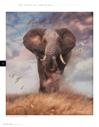

*Ivory Tower,* oil on canvas, 27.5 x 23 inches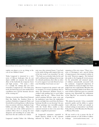

*Homeward Bound,* oil on canvas, 19.5 x 35.5 inches

exploit our planet, as we are doing, at the cost of our children's future."

Today, Langmead is immersed in a new series of African landscapes that do not depict wildlife yet emanate the powerful allure of the bushveld, the temperate forest and high savanna. "On many a safari it is actually the settings that you most remember," Langmead says. "The dusty jeep tracks, the flowering acacia, the sundrenched camelthorn trees, and the dramatic descent of the evening sun."

During a recent trip to Mana Pools National Park that flanks the Zambezi River in northern Zimbabwe, Langmead, Parker and friends did several long distance walks, having close encounters with lions, elephants, Cape buffalo, crocodile and hippo. Mana Pools is not only one of the wildest preserves in southern Africa but it is among the most dangerous and rewarding for an artist who dares leave the safe confines of a vehicle.

Langmead emailed Parker the following

note once they returned home: "I am back in the studio feeling really inspired after one of the best weeks I can remember," he said. "The bush was an absolute balm for the soul and I could just keep walking and never stop. As a lifestyle profession, this is like no other. It can be magical. I am truly blessed to have your friendship. Good mates are rare."

Bronwen Langmead, the painter's wife and co-navigator on several expeditions they've taken into Botswana's Kalahari Desert, is credited with pushing him to reach loftier heights with his art. "When David first started painting full-time many years ago his inspiration came from the resplendent beauty and light that oozed from the Karoo landscape literally on our doorstep," she says. "Those paintings were incredibly popular with the South Africa market as they captured moments in time even more than simply a magnificent panorama."

As Langmead's reputation expanded in North America, thanks to the exposure delivered by Parker, it also led to an

expansion of his own vision. "There was a sense of 'fleetingness' and a special feeling of impermanence that remained evident in his work," Bronwen suggests. Her husband also spoke to the longing all viewers possess for the primordial and untamed aspects of wildness automatically associated with the continent. Langmead's depictions of birds, bathed in evanescent light, have been judged into the Leigh Yawkey Woodson Art Museum's prestigious Birds in Art Show and some of those works have gone on a national museum tour. Meanwhile, his celebrations of the "Big Five" are coveted by collectors of sporting art.

"We admire his artwork. It has a wonderful painterly quality and his ability to capture water reflections of birds and animals in wetland settings is tremendous," says Kathy Foley, director of the Woodson Art Museum in Wausau, Wisconsin.

All one needs to do is peruse the list of available artwork at Call of Africa's Gallery webpage (www.nativevisions.com) to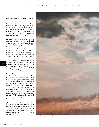understand that new arriving works are often purchased fast.

"Even in my twenties, I knew I needed to find places where I could get out of the rat race, if not to the wilderness then at least into landscapes that are very pastoral," Langmead says. "Once you become hooked on the visual narcotic that is Africa, you spend the rest of your life pursuing it."

In 2015, Langmead will be unveiling an ambitious selection of large and small works in the US as part of a traveling art exhibition Parker is organizing called "The Great Zambezi." The works, displayed with pieces by John Seerey-Lester, Jaco Van Schalkwyk, and leadwood carver Mopho Gonde will be available for viewing and purchase at Parker's galleries in Florida and at Safari Club shows in Texas and Las Vegas.

Some art historians say that Langmead is, in a way, like the great romantic painters of the American 19th century who captured the last gasp of the western frontier. He isn't aiming for fame but the paradox is that's exactly what is finding him.

"David's latest pieces have an honesty and simplicity to them. To me, this is where David's genius lies," Bronwen says. "Often, just as one only spots a kudu briefly against a backlit bush, this is what he captures in paint. When out on the veld, it is unlikely that one will come across a charging lion. Yet it is highly likely that one will see an exquisite grass scape - one that stands alone as a place you would love immortalized in paint forever. This is what David now captures. And sometimes, if you look carefully, a lioness may be lounging and hidden within." ★

*[Todd Wilkinson has been writing about the outdoors and art for nearly 30 years. He is founder of the online art magazine Wildlife Art Journal and author of the recent criticallyacclaimed book, Last Stand: Ted Turner's Quest to Save a Troubled Planet. Todd lives in Bozeman, Montana.]*



*Banner Of Heaven,* oil on canvas, 24 x 36 inches